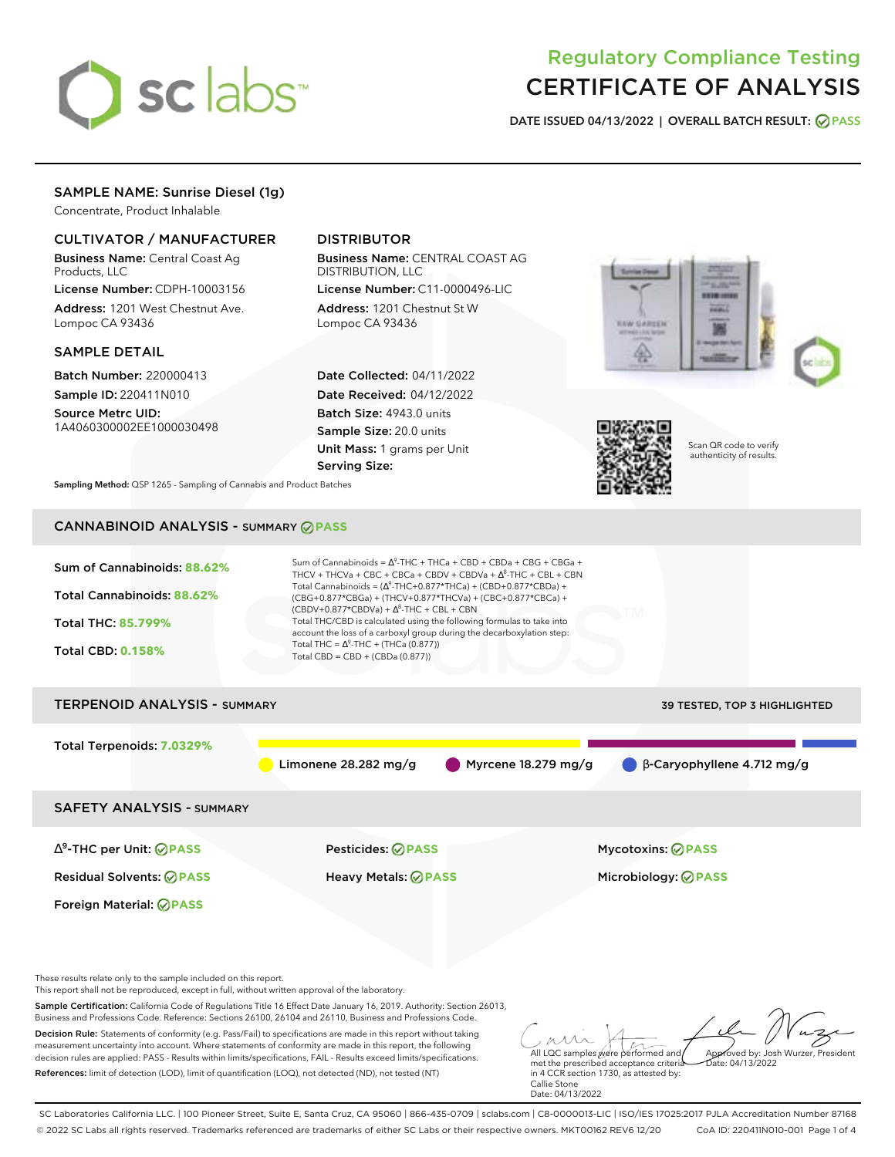

# Regulatory Compliance Testing CERTIFICATE OF ANALYSIS

**DATE ISSUED 04/13/2022 | OVERALL BATCH RESULT: PASS**

## SAMPLE NAME: Sunrise Diesel (1g)

Concentrate, Product Inhalable

### CULTIVATOR / MANUFACTURER

Business Name: Central Coast Ag Products, LLC

License Number: CDPH-10003156 Address: 1201 West Chestnut Ave. Lompoc CA 93436

### SAMPLE DETAIL

Batch Number: 220000413 Sample ID: 220411N010

Source Metrc UID: 1A4060300002EE1000030498

# DISTRIBUTOR

Business Name: CENTRAL COAST AG DISTRIBUTION, LLC

License Number: C11-0000496-LIC Address: 1201 Chestnut St W Lompoc CA 93436

Date Collected: 04/11/2022 Date Received: 04/12/2022 Batch Size: 4943.0 units Sample Size: 20.0 units Unit Mass: 1 grams per Unit Serving Size:





Scan QR code to verify authenticity of results.

**Sampling Method:** QSP 1265 - Sampling of Cannabis and Product Batches

# CANNABINOID ANALYSIS - SUMMARY **PASS**



SC Laboratories California LLC. | 100 Pioneer Street, Suite E, Santa Cruz, CA 95060 | 866-435-0709 | sclabs.com | C8-0000013-LIC | ISO/IES 17025:2017 PJLA Accreditation Number 87168 © 2022 SC Labs all rights reserved. Trademarks referenced are trademarks of either SC Labs or their respective owners. MKT00162 REV6 12/20 CoA ID: 220411N010-001 Page 1 of 4